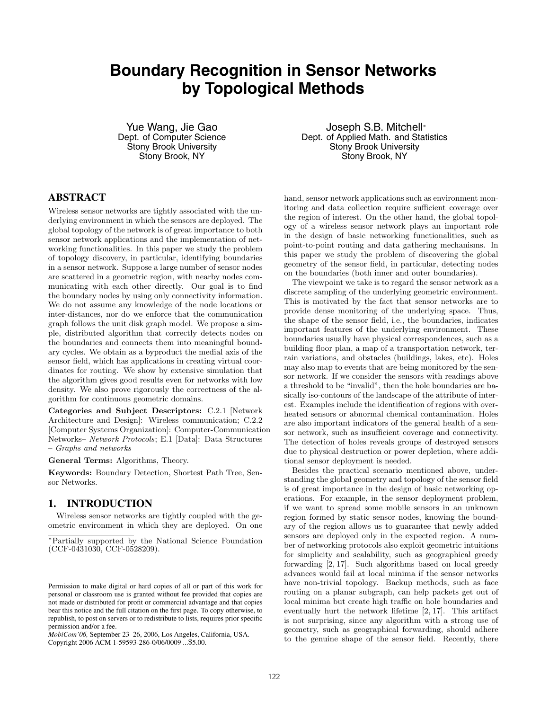# **Boundary Recognition in Sensor Networks by Topological Methods**

Yue Wang, Jie Gao Dept. of Computer Science Stony Brook University Stony Brook, NY

Joseph S.B. Mitchell<sup>∗</sup> Dept. of Applied Math. and Statistics Stony Brook University Stony Brook, NY

# **ABSTRACT**

Wireless sensor networks are tightly associated with the underlying environment in which the sensors are deployed. The global topology of the network is of great importance to both sensor network applications and the implementation of networking functionalities. In this paper we study the problem of topology discovery, in particular, identifying boundaries in a sensor network. Suppose a large number of sensor nodes are scattered in a geometric region, with nearby nodes communicating with each other directly. Our goal is to find the boundary nodes by using only connectivity information. We do not assume any knowledge of the node locations or inter-distances, nor do we enforce that the communication graph follows the unit disk graph model. We propose a simple, distributed algorithm that correctly detects nodes on the boundaries and connects them into meaningful boundary cycles. We obtain as a byproduct the medial axis of the sensor field, which has applications in creating virtual coordinates for routing. We show by extensive simulation that the algorithm gives good results even for networks with low density. We also prove rigorously the correctness of the algorithm for continuous geometric domains.

**Categories and Subject Descriptors:** C.2.1 [Network Architecture and Design]: Wireless communication; C.2.2 [Computer Systems Organization]: Computer-Communication Networks– *Network Protocols*; E.1 [Data]: Data Structures – *Graphs and networks*

**General Terms:** Algorithms, Theory.

**Keywords:** Boundary Detection, Shortest Path Tree, Sensor Networks.

# **1. INTRODUCTION**

Wireless sensor networks are tightly coupled with the geometric environment in which they are deployed. On one

*MobiCom'06,* September 23–26, 2006, Los Angeles, California, USA. Copyright 2006 ACM 1-59593-286-0/06/0009 ...\$5.00.

hand, sensor network applications such as environment monitoring and data collection require sufficient coverage over the region of interest. On the other hand, the global topology of a wireless sensor network plays an important role in the design of basic networking functionalities, such as point-to-point routing and data gathering mechanisms. In this paper we study the problem of discovering the global geometry of the sensor field, in particular, detecting nodes on the boundaries (both inner and outer boundaries).

The viewpoint we take is to regard the sensor network as a discrete sampling of the underlying geometric environment. This is motivated by the fact that sensor networks are to provide dense monitoring of the underlying space. Thus, the shape of the sensor field, i.e., the boundaries, indicates important features of the underlying environment. These boundaries usually have physical correspondences, such as a building floor plan, a map of a transportation network, terrain variations, and obstacles (buildings, lakes, etc). Holes may also map to events that are being monitored by the sensor network. If we consider the sensors with readings above a threshold to be "invalid", then the hole boundaries are basically iso-contours of the landscape of the attribute of interest. Examples include the identification of regions with overheated sensors or abnormal chemical contamination. Holes are also important indicators of the general health of a sensor network, such as insufficient coverage and connectivity. The detection of holes reveals groups of destroyed sensors due to physical destruction or power depletion, where additional sensor deployment is needed.

Besides the practical scenario mentioned above, understanding the global geometry and topology of the sensor field is of great importance in the design of basic networking operations. For example, in the sensor deployment problem, if we want to spread some mobile sensors in an unknown region formed by static sensor nodes, knowing the boundary of the region allows us to guarantee that newly added sensors are deployed only in the expected region. A number of networking protocols also exploit geometric intuitions for simplicity and scalability, such as geographical greedy forwarding [2, 17]. Such algorithms based on local greedy advances would fail at local minima if the sensor networks have non-trivial topology. Backup methods, such as face routing on a planar subgraph, can help packets get out of local minima but create high traffic on hole boundaries and eventually hurt the network lifetime [2, 17]. This artifact is not surprising, since any algorithm with a strong use of geometry, such as geographical forwarding, should adhere to the genuine shape of the sensor field. Recently, there

<sup>∗</sup>Partially supported by the National Science Foundation (CCF-0431030, CCF-0528209).

Permission to make digital or hard copies of all or part of this work for personal or classroom use is granted without fee provided that copies are not made or distributed for profit or commercial advantage and that copies bear this notice and the full citation on the first page. To copy otherwise, to republish, to post on servers or to redistribute to lists, requires prior specific permission and/or a fee.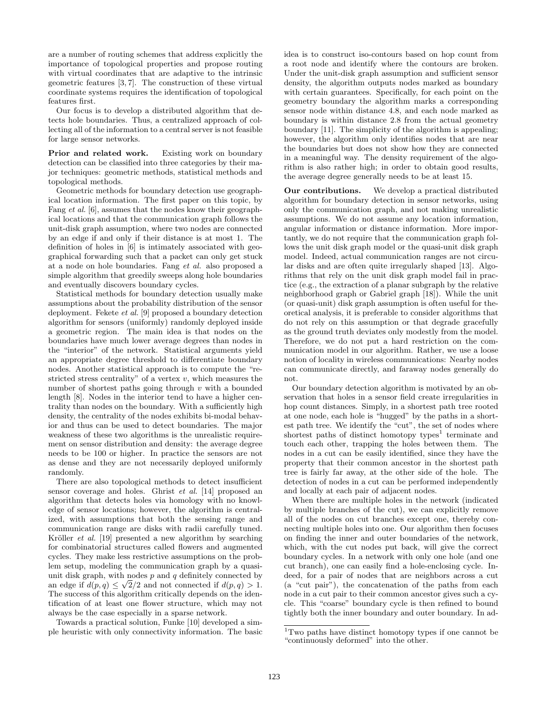are a number of routing schemes that address explicitly the importance of topological properties and propose routing with virtual coordinates that are adaptive to the intrinsic geometric features [3, 7]. The construction of these virtual coordinate systems requires the identification of topological features first.

Our focus is to develop a distributed algorithm that detects hole boundaries. Thus, a centralized approach of collecting all of the information to a central server is not feasible for large sensor networks.

Prior and related work. Existing work on boundary detection can be classified into three categories by their major techniques: geometric methods, statistical methods and topological methods.

Geometric methods for boundary detection use geographical location information. The first paper on this topic, by Fang *et al.* [6], assumes that the nodes know their geographical locations and that the communication graph follows the unit-disk graph assumption, where two nodes are connected by an edge if and only if their distance is at most 1. The definition of holes in [6] is intimately associated with geographical forwarding such that a packet can only get stuck at a node on hole boundaries. Fang *et al.* also proposed a simple algorithm that greedily sweeps along hole boundaries and eventually discovers boundary cycles.

Statistical methods for boundary detection usually make assumptions about the probability distribution of the sensor deployment. Fekete *et al.* [9] proposed a boundary detection algorithm for sensors (uniformly) randomly deployed inside a geometric region. The main idea is that nodes on the boundaries have much lower average degrees than nodes in the "interior" of the network. Statistical arguments yield an appropriate degree threshold to differentiate boundary nodes. Another statistical approach is to compute the "restricted stress centrality" of a vertex  $v$ , which measures the number of shortest paths going through  $v$  with a bounded length [8]. Nodes in the interior tend to have a higher centrality than nodes on the boundary. With a sufficiently high density, the centrality of the nodes exhibits bi-modal behavior and thus can be used to detect boundaries. The major weakness of these two algorithms is the unrealistic requirement on sensor distribution and density: the average degree needs to be 100 or higher. In practice the sensors are not as dense and they are not necessarily deployed uniformly randomly.

There are also topological methods to detect insufficient sensor coverage and holes. Ghrist *et al.* [14] proposed an algorithm that detects holes via homology with no knowledge of sensor locations; however, the algorithm is centralized, with assumptions that both the sensing range and communication range are disks with radii carefully tuned. Kröller *et al.* [19] presented a new algorithm by searching for combinatorial structures called flowers and augmented cycles. They make less restrictive assumptions on the problem setup, modeling the communication graph by a quasiunit disk graph, with nodes  $p$  and  $q$  definitely connected by an edge if  $d(p,q) \leq \sqrt{2}/2$  and not connected if  $d(p,q) > 1$ . The success of this algorithm critically depends on the identification of at least one flower structure, which may not always be the case especially in a sparse network.

Towards a practical solution, Funke [10] developed a simple heuristic with only connectivity information. The basic idea is to construct iso-contours based on hop count from a root node and identify where the contours are broken. Under the unit-disk graph assumption and sufficient sensor density, the algorithm outputs nodes marked as boundary with certain guarantees. Specifically, for each point on the geometry boundary the algorithm marks a corresponding sensor node within distance 4.8, and each node marked as boundary is within distance 2.8 from the actual geometry boundary [11]. The simplicity of the algorithm is appealing; however, the algorithm only identifies nodes that are near the boundaries but does not show how they are connected in a meaningful way. The density requirement of the algorithm is also rather high; in order to obtain good results, the average degree generally needs to be at least 15.

**Our contributions.** We develop a practical distributed algorithm for boundary detection in sensor networks, using only the communication graph, and not making unrealistic assumptions. We do not assume any location information, angular information or distance information. More importantly, we do not require that the communication graph follows the unit disk graph model or the quasi-unit disk graph model. Indeed, actual communication ranges are not circular disks and are often quite irregularly shaped [13]. Algorithms that rely on the unit disk graph model fail in practice (e.g., the extraction of a planar subgraph by the relative neighborhood graph or Gabriel graph [18]). While the unit (or quasi-unit) disk graph assumption is often useful for theoretical analysis, it is preferable to consider algorithms that do not rely on this assumption or that degrade gracefully as the ground truth deviates only modestly from the model. Therefore, we do not put a hard restriction on the communication model in our algorithm. Rather, we use a loose notion of locality in wireless communications: Nearby nodes can communicate directly, and faraway nodes generally do not.

Our boundary detection algorithm is motivated by an observation that holes in a sensor field create irregularities in hop count distances. Simply, in a shortest path tree rooted at one node, each hole is "hugged" by the paths in a shortest path tree. We identify the "cut", the set of nodes where shortest paths of distinct homotopy types<sup>1</sup> terminate and touch each other, trapping the holes between them. The nodes in a cut can be easily identified, since they have the property that their common ancestor in the shortest path tree is fairly far away, at the other side of the hole. The detection of nodes in a cut can be performed independently and locally at each pair of adjacent nodes.

When there are multiple holes in the network (indicated by multiple branches of the cut), we can explicitly remove all of the nodes on cut branches except one, thereby connecting multiple holes into one. Our algorithm then focuses on finding the inner and outer boundaries of the network, which, with the cut nodes put back, will give the correct boundary cycles. In a network with only one hole (and one cut branch), one can easily find a hole-enclosing cycle. Indeed, for a pair of nodes that are neighbors across a cut (a "cut pair"), the concatenation of the paths from each node in a cut pair to their common ancestor gives such a cycle. This "coarse" boundary cycle is then refined to bound tightly both the inner boundary and outer boundary. In ad-

 $\rm ^1$  Two paths have distinct homotopy types if one cannot be "continuously deformed" into the other.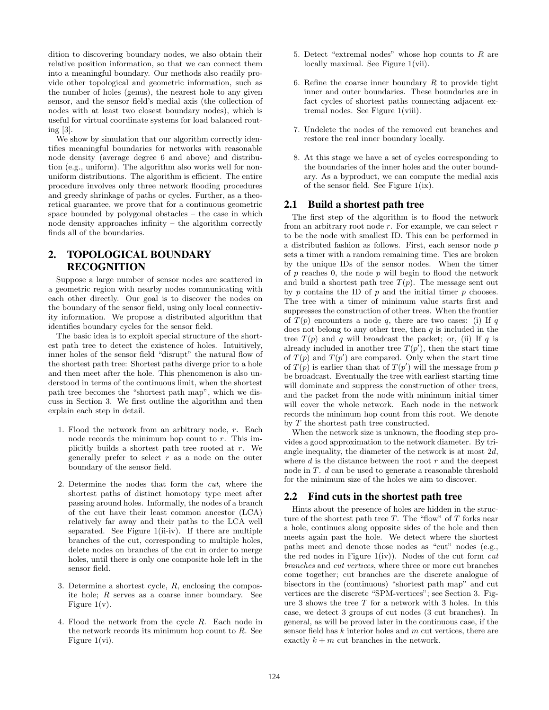dition to discovering boundary nodes, we also obtain their relative position information, so that we can connect them into a meaningful boundary. Our methods also readily provide other topological and geometric information, such as the number of holes (genus), the nearest hole to any given sensor, and the sensor field's medial axis (the collection of nodes with at least two closest boundary nodes), which is useful for virtual coordinate systems for load balanced routing [3].

We show by simulation that our algorithm correctly identifies meaningful boundaries for networks with reasonable node density (average degree 6 and above) and distribution (e.g., uniform). The algorithm also works well for nonuniform distributions. The algorithm is efficient. The entire procedure involves only three network flooding procedures and greedy shrinkage of paths or cycles. Further, as a theoretical guarantee, we prove that for a continuous geometric space bounded by polygonal obstacles – the case in which node density approaches infinity – the algorithm correctly finds all of the boundaries.

# **2. TOPOLOGICAL BOUNDARY RECOGNITION**

Suppose a large number of sensor nodes are scattered in a geometric region with nearby nodes communicating with each other directly. Our goal is to discover the nodes on the boundary of the sensor field, using only local connectivity information. We propose a distributed algorithm that identifies boundary cycles for the sensor field.

The basic idea is to exploit special structure of the shortest path tree to detect the existence of holes. Intuitively, inner holes of the sensor field "disrupt" the natural flow of the shortest path tree: Shortest paths diverge prior to a hole and then meet after the hole. This phenomenon is also understood in terms of the continuous limit, when the shortest path tree becomes the "shortest path map", which we discuss in Section 3. We first outline the algorithm and then explain each step in detail.

- 1. Flood the network from an arbitrary node, r. Each node records the minimum hop count to r. This implicitly builds a shortest path tree rooted at r. We generally prefer to select  $r$  as a node on the outer boundary of the sensor field.
- 2. Determine the nodes that form the *cut*, where the shortest paths of distinct homotopy type meet after passing around holes. Informally, the nodes of a branch of the cut have their least common ancestor (LCA) relatively far away and their paths to the LCA well separated. See Figure 1(ii-iv). If there are multiple branches of the cut, corresponding to multiple holes, delete nodes on branches of the cut in order to merge holes, until there is only one composite hole left in the sensor field.
- 3. Determine a shortest cycle, R, enclosing the composite hole; R serves as a coarse inner boundary. See Figure  $1(v)$ .
- 4. Flood the network from the cycle R. Each node in the network records its minimum hop count to  $R$ . See Figure 1(vi).
- 5. Detect "extremal nodes" whose hop counts to  $R$  are locally maximal. See Figure 1(vii).
- 6. Refine the coarse inner boundary  $R$  to provide tight inner and outer boundaries. These boundaries are in fact cycles of shortest paths connecting adjacent extremal nodes. See Figure 1(viii).
- 7. Undelete the nodes of the removed cut branches and restore the real inner boundary locally.
- 8. At this stage we have a set of cycles corresponding to the boundaries of the inner holes and the outer boundary. As a byproduct, we can compute the medial axis of the sensor field. See Figure 1(ix).

# **2.1 Build a shortest path tree**

The first step of the algorithm is to flood the network from an arbitrary root node  $r$ . For example, we can select  $r$ to be the node with smallest ID. This can be performed in a distributed fashion as follows. First, each sensor node p sets a timer with a random remaining time. Ties are broken by the unique IDs of the sensor nodes. When the timer of  $p$  reaches 0, the node  $p$  will begin to flood the network and build a shortest path tree  $T(p)$ . The message sent out by  $p$  contains the ID of  $p$  and the initial timer  $p$  chooses. The tree with a timer of minimum value starts first and suppresses the construction of other trees. When the frontier of  $T(p)$  encounters a node q, there are two cases: (i) If q does not belong to any other tree, then  $q$  is included in the tree  $T(p)$  and q will broadcast the packet; or, (ii) If q is already included in another tree  $T(p')$ , then the start time of  $T(p)$  and  $T(p')$  are compared. Only when the start time of  $T(p)$  is earlier than that of  $T(p')$  will the message from p be broadcast. Eventually the tree with earliest starting time will dominate and suppress the construction of other trees, and the packet from the node with minimum initial timer will cover the whole network. Each node in the network records the minimum hop count from this root. We denote by T the shortest path tree constructed.

When the network size is unknown, the flooding step provides a good approximation to the network diameter. By triangle inequality, the diameter of the network is at most 2d, where  $d$  is the distance between the root  $r$  and the deepest node in T. d can be used to generate a reasonable threshold for the minimum size of the holes we aim to discover.

# **2.2 Find cuts in the shortest path tree**

Hints about the presence of holes are hidden in the structure of the shortest path tree  $T$ . The "flow" of  $T$  forks near a hole, continues along opposite sides of the hole and then meets again past the hole. We detect where the shortest paths meet and denote those nodes as "cut" nodes (e.g., the red nodes in Figure 1(iv)). Nodes of the cut form *cut branches* and *cut vertices*, where three or more cut branches come together; cut branches are the discrete analogue of bisectors in the (continuous) "shortest path map" and cut vertices are the discrete "SPM-vertices"; see Section 3. Figure 3 shows the tree  $T$  for a network with 3 holes. In this case, we detect 3 groups of cut nodes (3 cut branches). In general, as will be proved later in the continuous case, if the sensor field has  $k$  interior holes and  $m$  cut vertices, there are exactly  $k + m$  cut branches in the network.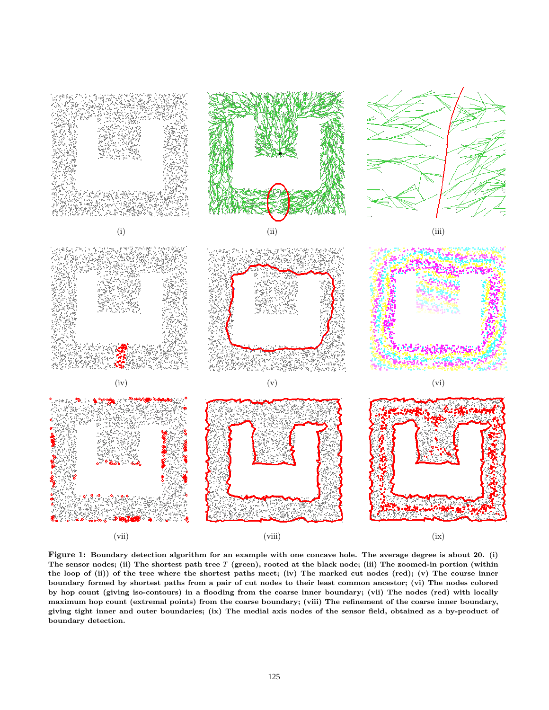

**Figure 1: Boundary detection algorithm for an example with one concave hole. The average degree is about 20. (i) The sensor nodes; (ii) The shortest path tree** *T* **(green), rooted at the black node; (iii) The zoomed-in portion (within the loop of (ii)) of the tree where the shortest paths meet; (iv) The marked cut nodes (red); (v) The course inner boundary formed by shortest paths from a pair of cut nodes to their least common ancestor; (vi) The nodes colored by hop count (giving iso-contours) in a flooding from the coarse inner boundary; (vii) The nodes (red) with locally maximum hop count (extremal points) from the coarse boundary; (viii) The refinement of the coarse inner boundary, giving tight inner and outer boundaries; (ix) The medial axis nodes of the sensor field, obtained as a by-product of boundary detection.**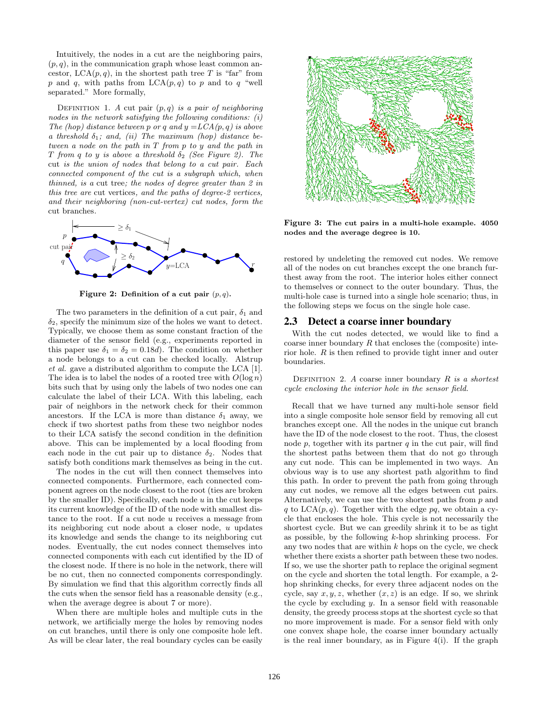Intuitively, the nodes in a cut are the neighboring pairs,  $(p, q)$ , in the communication graph whose least common ancestor,  $LCA(p, q)$ , in the shortest path tree T is "far" from p and q, with paths from  $LCA(p,q)$  to p and to q "well separated." More formally,

DEFINITION 1. *A* cut pair  $(p, q)$  *is a pair of neighboring nodes in the network satisfying the following conditions: (i) The (hop) distance between* p *or* q *and* y =*LCA(*p, q*) is above*  $\alpha$  threshold  $\delta_1$ ; and, *(ii)* The maximum *(hop)* distance be*tween a node on the path in* T *from* p *to* y *and the path in* T from q to y *is above a threshold*  $\delta_2$  (See Figure 2). The cut *is the union of nodes that belong to a cut pair. Each connected component of the cut is a subgraph which, when thinned, is a* cut tree*; the nodes of degree greater than 2 in this tree are* cut vertices*, and the paths of degree-2 vertices, and their neighboring (non-cut-vertex) cut nodes, form the* cut branches*.*



**Figure 2: Definition of a cut pair** (*p, q*)**.**

The two parameters in the definition of a cut pair,  $\delta_1$  and  $\delta_2$ , specify the minimum size of the holes we want to detect. Typically, we choose them as some constant fraction of the diameter of the sensor field (e.g., experiments reported in this paper use  $\delta_1 = \delta_2 = 0.18d$ . The condition on whether a node belongs to a cut can be checked locally. Alstrup *et al.* gave a distributed algorithm to compute the LCA [1]. The idea is to label the nodes of a rooted tree with  $O(\log n)$ bits such that by using only the labels of two nodes one can calculate the label of their LCA. With this labeling, each pair of neighbors in the network check for their common ancestors. If the LCA is more than distance  $\delta_1$  away, we check if two shortest paths from these two neighbor nodes to their LCA satisfy the second condition in the definition above. This can be implemented by a local flooding from each node in the cut pair up to distance  $\delta_2$ . Nodes that satisfy both conditions mark themselves as being in the cut.

The nodes in the cut will then connect themselves into connected components. Furthermore, each connected component agrees on the node closest to the root (ties are broken by the smaller ID). Specifically, each node  $u$  in the cut keeps its current knowledge of the ID of the node with smallest distance to the root. If a cut node u receives a message from its neighboring cut node about a closer node, u updates its knowledge and sends the change to its neighboring cut nodes. Eventually, the cut nodes connect themselves into connected components with each cut identified by the ID of the closest node. If there is no hole in the network, there will be no cut, then no connected components correspondingly. By simulation we find that this algorithm correctly finds all the cuts when the sensor field has a reasonable density (e.g., when the average degree is about 7 or more).

When there are multiple holes and multiple cuts in the network, we artificially merge the holes by removing nodes on cut branches, until there is only one composite hole left. As will be clear later, the real boundary cycles can be easily



**Figure 3: The cut pairs in a multi-hole example. 4050 nodes and the average degree is 10.**

restored by undeleting the removed cut nodes. We remove all of the nodes on cut branches except the one branch furthest away from the root. The interior holes either connect to themselves or connect to the outer boundary. Thus, the multi-hole case is turned into a single hole scenario; thus, in the following steps we focus on the single hole case.

### **2.3 Detect a coarse inner boundary**

With the cut nodes detected, we would like to find a coarse inner boundary  $R$  that encloses the (composite) interior hole. R is then refined to provide tight inner and outer boundaries.

Definition 2. *A* coarse inner boundary R *is a shortest cycle enclosing the interior hole in the sensor field.*

Recall that we have turned any multi-hole sensor field into a single composite hole sensor field by removing all cut branches except one. All the nodes in the unique cut branch have the ID of the node closest to the root. Thus, the closest node  $p$ , together with its partner  $q$  in the cut pair, will find the shortest paths between them that do not go through any cut node. This can be implemented in two ways. An obvious way is to use any shortest path algorithm to find this path. In order to prevent the path from going through any cut nodes, we remove all the edges between cut pairs. Alternatively, we can use the two shortest paths from p and q to  $LCA(p,q)$ . Together with the edge pq, we obtain a cycle that encloses the hole. This cycle is not necessarily the shortest cycle. But we can greedily shrink it to be as tight as possible, by the following k-hop shrinking process. For any two nodes that are within  $k$  hops on the cycle, we check whether there exists a shorter path between these two nodes. If so, we use the shorter path to replace the original segment on the cycle and shorten the total length. For example, a 2 hop shrinking checks, for every three adjacent nodes on the cycle, say  $x, y, z$ , whether  $(x, z)$  is an edge. If so, we shrink the cycle by excluding  $y$ . In a sensor field with reasonable density, the greedy process stops at the shortest cycle so that no more improvement is made. For a sensor field with only one convex shape hole, the coarse inner boundary actually is the real inner boundary, as in Figure  $4(i)$ . If the graph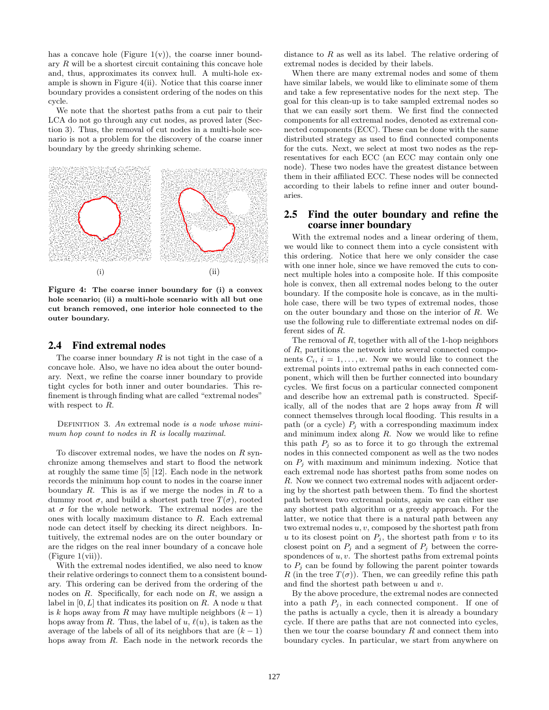has a concave hole (Figure  $1(v)$ ), the coarse inner boundary R will be a shortest circuit containing this concave hole and, thus, approximates its convex hull. A multi-hole example is shown in Figure 4(ii). Notice that this coarse inner boundary provides a consistent ordering of the nodes on this cycle.

We note that the shortest paths from a cut pair to their LCA do not go through any cut nodes, as proved later (Section 3). Thus, the removal of cut nodes in a multi-hole scenario is not a problem for the discovery of the coarse inner boundary by the greedy shrinking scheme.



**Figure 4: The coarse inner boundary for (i) a convex hole scenario; (ii) a multi-hole scenario with all but one cut branch removed, one interior hole connected to the outer boundary.**

# **2.4 Find extremal nodes**

The coarse inner boundary  $R$  is not tight in the case of a concave hole. Also, we have no idea about the outer boundary. Next, we refine the coarse inner boundary to provide tight cycles for both inner and outer boundaries. This refinement is through finding what are called "extremal nodes" with respect to R.

DEFINITION 3. An extremal node *is a node whose minimum hop count to nodes in* R *is locally maximal.*

To discover extremal nodes, we have the nodes on  $R$  synchronize among themselves and start to flood the network at roughly the same time [5] [12]. Each node in the network records the minimum hop count to nodes in the coarse inner boundary  $R$ . This is as if we merge the nodes in  $R$  to a dummy root  $\sigma$ , and build a shortest path tree  $T(\sigma)$ , rooted at  $\sigma$  for the whole network. The extremal nodes are the ones with locally maximum distance to R. Each extremal node can detect itself by checking its direct neighbors. Intuitively, the extremal nodes are on the outer boundary or are the ridges on the real inner boundary of a concave hole (Figure 1(vii)).

With the extremal nodes identified, we also need to know their relative orderings to connect them to a consistent boundary. This ordering can be derived from the ordering of the nodes on  $R$ . Specifically, for each node on  $R$ , we assign a label in  $[0, L]$  that indicates its position on R. A node u that is k hops away from R may have multiple neighbors  $(k-1)$ hops away from R. Thus, the label of  $u, \ell(u)$ , is taken as the average of the labels of all of its neighbors that are  $(k-1)$ hops away from R. Each node in the network records the

distance to  $R$  as well as its label. The relative ordering of extremal nodes is decided by their labels.

When there are many extremal nodes and some of them have similar labels, we would like to eliminate some of them and take a few representative nodes for the next step. The goal for this clean-up is to take sampled extremal nodes so that we can easily sort them. We first find the connected components for all extremal nodes, denoted as extremal connected components (ECC). These can be done with the same distributed strategy as used to find connected components for the cuts. Next, we select at most two nodes as the representatives for each ECC (an ECC may contain only one node). These two nodes have the greatest distance between them in their affiliated ECC. These nodes will be connected according to their labels to refine inner and outer boundaries.

# **2.5 Find the outer boundary and refine the coarse inner boundary**

With the extremal nodes and a linear ordering of them, we would like to connect them into a cycle consistent with this ordering. Notice that here we only consider the case with one inner hole, since we have removed the cuts to connect multiple holes into a composite hole. If this composite hole is convex, then all extremal nodes belong to the outer boundary. If the composite hole is concave, as in the multihole case, there will be two types of extremal nodes, those on the outer boundary and those on the interior of R. We use the following rule to differentiate extremal nodes on different sides of R.

The removal of  $R$ , together with all of the 1-hop neighbors of R, partitions the network into several connected components  $C_i$ ,  $i = 1, \ldots, w$ . Now we would like to connect the extremal points into extremal paths in each connected component, which will then be further connected into boundary cycles. We first focus on a particular connected component and describe how an extremal path is constructed. Specifically, all of the nodes that are 2 hops away from  $R$  will connect themselves through local flooding. This results in a path (or a cycle)  $P_j$  with a corresponding maximum index and minimum index along  $R$ . Now we would like to refine this path  $P_j$  so as to force it to go through the extremal nodes in this connected component as well as the two nodes on  $P_i$  with maximum and minimum indexing. Notice that each extremal node has shortest paths from some nodes on R. Now we connect two extremal nodes with adjacent ordering by the shortest path between them. To find the shortest path between two extremal points, again we can either use any shortest path algorithm or a greedy approach. For the latter, we notice that there is a natural path between any two extremal nodes  $u, v$ , composed by the shortest path from u to its closest point on  $P_i$ , the shortest path from v to its closest point on  $P_j$  and a segment of  $P_j$  between the correspondences of  $u, v$ . The shortest paths from extremal points to  $P_j$  can be found by following the parent pointer towards R (in the tree  $T(\sigma)$ ). Then, we can greedily refine this path and find the shortest path between  $u$  and  $v$ .

By the above procedure, the extremal nodes are connected into a path  $P_i$ , in each connected component. If one of the paths is actually a cycle, then it is already a boundary cycle. If there are paths that are not connected into cycles, then we tour the coarse boundary  $R$  and connect them into boundary cycles. In particular, we start from anywhere on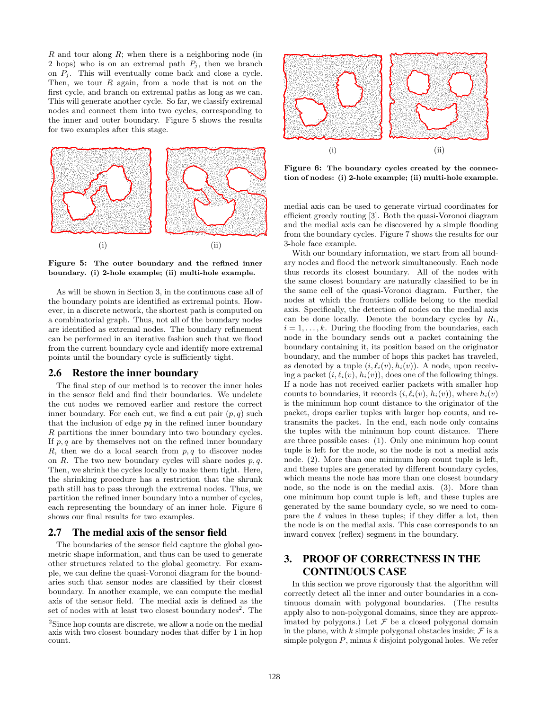$R$  and tour along  $R$ ; when there is a neighboring node (in 2 hops) who is on an extremal path  $P_j$ , then we branch on  $P_i$ . This will eventually come back and close a cycle. Then, we tour  $R$  again, from a node that is not on the first cycle, and branch on extremal paths as long as we can. This will generate another cycle. So far, we classify extremal nodes and connect them into two cycles, corresponding to the inner and outer boundary. Figure 5 shows the results for two examples after this stage.



**Figure 5: The outer boundary and the refined inner boundary. (i) 2-hole example; (ii) multi-hole example.**

As will be shown in Section 3, in the continuous case all of the boundary points are identified as extremal points. However, in a discrete network, the shortest path is computed on a combinatorial graph. Thus, not all of the boundary nodes are identified as extremal nodes. The boundary refinement can be performed in an iterative fashion such that we flood from the current boundary cycle and identify more extremal points until the boundary cycle is sufficiently tight.

### **2.6 Restore the inner boundary**

The final step of our method is to recover the inner holes in the sensor field and find their boundaries. We undelete the cut nodes we removed earlier and restore the correct inner boundary. For each cut, we find a cut pair  $(p, q)$  such that the inclusion of edge  $pq$  in the refined inner boundary R partitions the inner boundary into two boundary cycles. If  $p, q$  are by themselves not on the refined inner boundary R, then we do a local search from  $p, q$  to discover nodes on R. The two new boundary cycles will share nodes  $p, q$ . Then, we shrink the cycles locally to make them tight. Here, the shrinking procedure has a restriction that the shrunk path still has to pass through the extremal nodes. Thus, we partition the refined inner boundary into a number of cycles, each representing the boundary of an inner hole. Figure 6 shows our final results for two examples.

# **2.7 The medial axis of the sensor field**

The boundaries of the sensor field capture the global geometric shape information, and thus can be used to generate other structures related to the global geometry. For example, we can define the quasi-Voronoi diagram for the boundaries such that sensor nodes are classified by their closest boundary. In another example, we can compute the medial axis of the sensor field. The medial axis is defined as the set of nodes with at least two closest boundary nodes<sup>2</sup>. The



**Figure 6: The boundary cycles created by the connection of nodes: (i) 2-hole example; (ii) multi-hole example.**

medial axis can be used to generate virtual coordinates for efficient greedy routing [3]. Both the quasi-Voronoi diagram and the medial axis can be discovered by a simple flooding from the boundary cycles. Figure 7 shows the results for our 3-hole face example.

With our boundary information, we start from all boundary nodes and flood the network simultaneously. Each node thus records its closest boundary. All of the nodes with the same closest boundary are naturally classified to be in the same cell of the quasi-Voronoi diagram. Further, the nodes at which the frontiers collide belong to the medial axis. Specifically, the detection of nodes on the medial axis can be done locally. Denote the boundary cycles by R*i*,  $i = 1, \ldots, k$ . During the flooding from the boundaries, each node in the boundary sends out a packet containing the boundary containing it, its position based on the originator boundary, and the number of hops this packet has traveled, as denoted by a tuple  $(i, \ell_i(v), h_i(v))$ . A node, upon receiving a packet  $(i, \ell_i(v), h_i(v))$ , does one of the following things. If a node has not received earlier packets with smaller hop counts to boundaries, it records  $(i, \ell_i(v), h_i(v))$ , where  $h_i(v)$ is the minimum hop count distance to the originator of the packet, drops earlier tuples with larger hop counts, and retransmits the packet. In the end, each node only contains the tuples with the minimum hop count distance. There are three possible cases: (1). Only one minimum hop count tuple is left for the node, so the node is not a medial axis node. (2). More than one minimum hop count tuple is left, and these tuples are generated by different boundary cycles, which means the node has more than one closest boundary node, so the node is on the medial axis. (3). More than one minimum hop count tuple is left, and these tuples are generated by the same boundary cycle, so we need to compare the  $\ell$  values in these tuples; if they differ a lot, then the node is on the medial axis. This case corresponds to an inward convex (reflex) segment in the boundary.

# **3. PROOF OF CORRECTNESS IN THE CONTINUOUS CASE**

In this section we prove rigorously that the algorithm will correctly detect all the inner and outer boundaries in a continuous domain with polygonal boundaries. (The results apply also to non-polygonal domains, since they are approximated by polygons.) Let  $\mathcal F$  be a closed polygonal domain in the plane, with k simple polygonal obstacles inside;  $\mathcal F$  is a simple polygon  $P$ , minus  $k$  disjoint polygonal holes. We refer

<sup>&</sup>lt;sup>2</sup>Since hop counts are discrete, we allow a node on the medial axis with two closest boundary nodes that differ by 1 in hop count.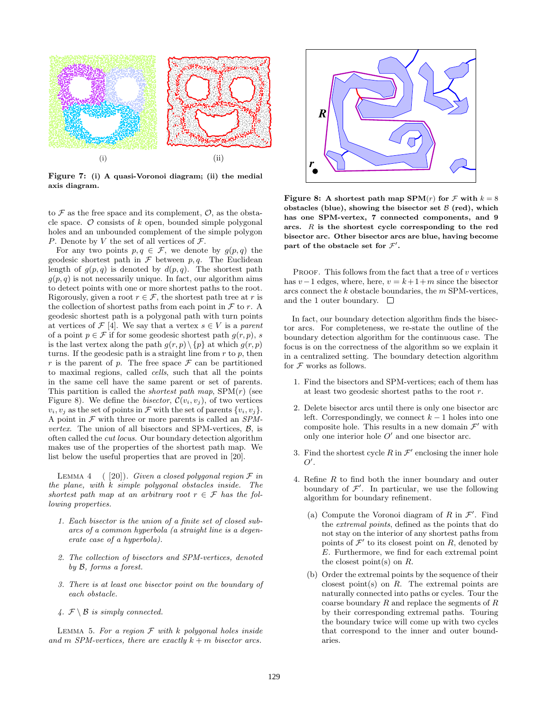

**Figure 7: (i) A quasi-Voronoi diagram; (ii) the medial axis diagram.**

to  $\mathcal F$  as the free space and its complement,  $\mathcal O$ , as the obstacle space.  $\mathcal O$  consists of  $k$  open, bounded simple polygonal holes and an unbounded complement of the simple polygon P. Denote by V the set of all vertices of  $\mathcal{F}$ .

For any two points  $p, q \in \mathcal{F}$ , we denote by  $g(p, q)$  the geodesic shortest path in  $F$  between  $p, q$ . The Euclidean length of  $g(p,q)$  is denoted by  $d(p,q)$ . The shortest path  $g(p, q)$  is not necessarily unique. In fact, our algorithm aims to detect points with one or more shortest paths to the root. Rigorously, given a root  $r \in \mathcal{F}$ , the shortest path tree at r is the collection of shortest paths from each point in  $\mathcal F$  to r. A geodesic shortest path is a polygonal path with turn points at vertices of  $\mathcal{F}$  [4]. We say that a vertex  $s \in V$  is a *parent* of a point  $p \in \mathcal{F}$  if for some geodesic shortest path  $g(r, p)$ , s is the last vertex along the path  $g(r, p) \setminus \{p\}$  at which  $g(r, p)$ turns. If the geodesic path is a straight line from  $r$  to  $p$ , then r is the parent of p. The free space  $\mathcal F$  can be partitioned to maximal regions, called *cells*, such that all the points in the same cell have the same parent or set of parents. This partition is called the *shortest path map*, SPM(r) (see Figure 8). We define the *bisector*,  $\mathcal{C}(v_i, v_j)$ , of two vertices  $v_i, v_j$  as the set of points in  $\mathcal F$  with the set of parents  $\{v_i, v_j\}$ . A point in F with three or more parents is called an *SPMvertex*. The union of all bisectors and SPM-vertices,  $\beta$ , is often called the *cut locus*. Our boundary detection algorithm makes use of the properties of the shortest path map. We list below the useful properties that are proved in [20].

LEMMA 4 ( $[20]$ ). *Given a closed polygonal region*  $\mathcal F$  *in the plane, with* k *simple polygonal obstacles inside. The shortest path map at an arbitrary root*  $r \in \mathcal{F}$  *has the following properties.*

- *1. Each bisector is the union of a finite set of closed subarcs of a common hyperbola (a straight line is a degenerate case of a hyperbola).*
- *2. The collection of bisectors and SPM-vertices, denoted by* B*, forms a forest.*
- *3. There is at least one bisector point on the boundary of each obstacle.*
- 4.  $\mathcal{F}\setminus\mathcal{B}$  *is simply connected.*

Lemma 5. *For a region* F *with* k *polygonal holes inside* and m *SPM-vertices, there are exactly*  $k + m$  *bisector arcs.* 



**Figure 8:** A shortest path map  $SPM(r)$  for  $\mathcal F$  with  $k = 8$ **obstacles (blue), showing the bisector set** *B* **(red), which has one SPM-vertex, 7 connected components, and 9 arcs.** *R* **is the shortest cycle corresponding to the red bisector arc. Other bisector arcs are blue, having become** part of the obstacle set for  $\mathcal{F}'$ .

PROOF. This follows from the fact that a tree of  $v$  vertices has  $v-1$  edges, where, here,  $v = k+1+m$  since the bisector arcs connect the k obstacle boundaries, the m SPM-vertices, and the 1 outer boundary.  $\square$ 

In fact, our boundary detection algorithm finds the bisector arcs. For completeness, we re-state the outline of the boundary detection algorithm for the continuous case. The focus is on the correctness of the algorithm so we explain it in a centralized setting. The boundary detection algorithm for  $F$  works as follows.

- 1. Find the bisectors and SPM-vertices; each of them has at least two geodesic shortest paths to the root r.
- 2. Delete bisector arcs until there is only one bisector arc left. Correspondingly, we connect  $k - 1$  holes into one composite hole. This results in a new domain  $\mathcal{F}'$  with only one interior hole  $O'$  and one bisector arc.
- 3. Find the shortest cycle R in  $\mathcal{F}'$  enclosing the inner hole  $O'.$
- 4. Refine R to find both the inner boundary and outer boundary of  $\mathcal{F}'$ . In particular, we use the following algorithm for boundary refinement.
	- (a) Compute the Voronoi diagram of  $R$  in  $\mathcal{F}'$ . Find the *extremal points*, defined as the points that do not stay on the interior of any shortest paths from points of  $\mathcal{F}'$  to its closest point on R, denoted by E. Furthermore, we find for each extremal point the closest point(s) on  $R$ .
	- (b) Order the extremal points by the sequence of their closest point(s) on  $R$ . The extremal points are naturally connected into paths or cycles. Tour the coarse boundary  $R$  and replace the segments of  $R$ by their corresponding extremal paths. Touring the boundary twice will come up with two cycles that correspond to the inner and outer boundaries.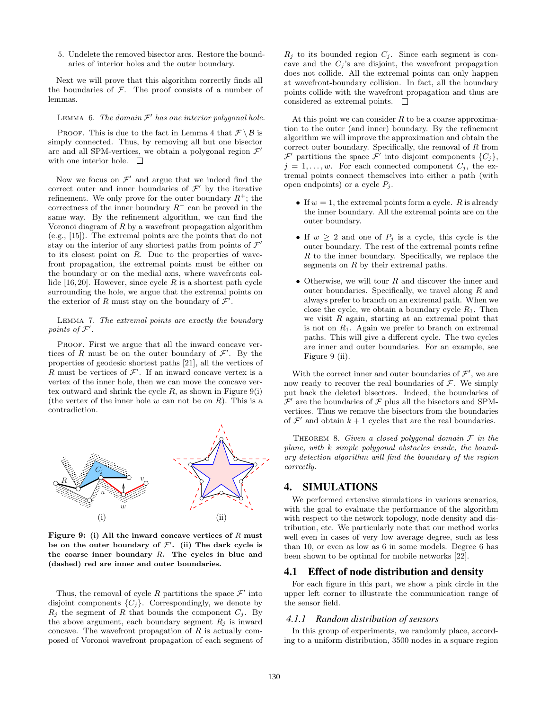5. Undelete the removed bisector arcs. Restore the boundaries of interior holes and the outer boundary.

Next we will prove that this algorithm correctly finds all the boundaries of  $F$ . The proof consists of a number of lemmas.

LEMMA 6. *The domain*  $\mathcal{F}'$  has one interior polygonal hole.

PROOF. This is due to the fact in Lemma 4 that  $\mathcal{F}\setminus\mathcal{B}$  is simply connected. Thus, by removing all but one bisector arc and all SPM-vertices, we obtain a polygonal region  $\mathcal{F}$ with one interior hole.  $\square$ 

Now we focus on  $\mathcal{F}'$  and argue that we indeed find the correct outer and inner boundaries of  $\mathcal{F}'$  by the iterative refinement. We only prove for the outer boundary  $R^+$ ; the correctness of the inner boundary  $R^-$  can be proved in the same way. By the refinement algorithm, we can find the Voronoi diagram of  $R$  by a wavefront propagation algorithm (e.g., [15]). The extremal points are the points that do not stay on the interior of any shortest paths from points of  $\mathcal{F}'$ to its closest point on  $R$ . Due to the properties of wavefront propagation, the extremal points must be either on the boundary or on the medial axis, where wavefronts collide  $[16, 20]$ . However, since cycle R is a shortest path cycle surrounding the hole, we argue that the extremal points on the exterior of R must stay on the boundary of  $\mathcal{F}'$ .

Lemma 7. *The extremal points are exactly the boundary points of*  $\mathcal{F}'$ .

PROOF. First we argue that all the inward concave vertices of R must be on the outer boundary of  $\mathcal{F}'$ . By the properties of geodesic shortest paths [21], all the vertices of R must be vertices of  $\mathcal{F}'$ . If an inward concave vertex is a vertex of the inner hole, then we can move the concave vertex outward and shrink the cycle  $R$ , as shown in Figure 9(i) (the vertex of the inner hole  $w$  can not be on  $R$ ). This is a contradiction.



**Figure 9: (i) All the inward concave vertices of** *R* **must** be on the outer boundary of  $\mathcal{F}'$ . (ii) The dark cycle is **the coarse inner boundary** *R***. The cycles in blue and (dashed) red are inner and outer boundaries.**

Thus, the removal of cycle R partitions the space  $\mathcal{F}'$  into disjoint components  $\{C_j\}$ . Correspondingly, we denote by  $R_i$  the segment of R that bounds the component  $C_i$ . By the above argument, each boundary segment  $R_j$  is inward concave. The wavefront propagation of  $R$  is actually composed of Voronoi wavefront propagation of each segment of

 $R_j$  to its bounded region  $C_j$ . Since each segment is concave and the  $C_j$ 's are disjoint, the wavefront propagation does not collide. All the extremal points can only happen at wavefront-boundary collision. In fact, all the boundary points collide with the wavefront propagation and thus are considered as extremal points.  $\Box$ 

At this point we can consider  $R$  to be a coarse approximation to the outer (and inner) boundary. By the refinement algorithm we will improve the approximation and obtain the correct outer boundary. Specifically, the removal of R from  $\mathcal{F}'$  partitions the space  $\mathcal{F}'$  into disjoint components  $\{C_j\},$  $j = 1, \ldots, w$ . For each connected component  $C_j$ , the extremal points connect themselves into either a path (with open endpoints) or a cycle  $P_j$ .

- If  $w = 1$ , the extremal points form a cycle. R is already the inner boundary. All the extremal points are on the outer boundary.
- If  $w \geq 2$  and one of  $P_j$  is a cycle, this cycle is the outer boundary. The rest of the extremal points refine  $R$  to the inner boundary. Specifically, we replace the segments on R by their extremal paths.
- Otherwise, we will tour  $R$  and discover the inner and outer boundaries. Specifically, we travel along  $R$  and always prefer to branch on an extremal path. When we close the cycle, we obtain a boundary cycle  $R_1$ . Then we visit  $R$  again, starting at an extremal point that is not on  $R_1$ . Again we prefer to branch on extremal paths. This will give a different cycle. The two cycles are inner and outer boundaries. For an example, see Figure 9 (ii).

With the correct inner and outer boundaries of  $\mathcal{F}'$ , we are now ready to recover the real boundaries of  $\mathcal{F}$ . We simply put back the deleted bisectors. Indeed, the boundaries of  $\mathcal{F}'$  are the boundaries of  $\mathcal F$  plus all the bisectors and SPMvertices. Thus we remove the bisectors from the boundaries of  $\mathcal{F}'$  and obtain  $k+1$  cycles that are the real boundaries.

THEOREM 8. *Given a closed polygonal domain*  $F$  *in the plane, with* k *simple polygonal obstacles inside, the boundary detection algorithm will find the boundary of the region correctly.*

# **4. SIMULATIONS**

We performed extensive simulations in various scenarios, with the goal to evaluate the performance of the algorithm with respect to the network topology, node density and distribution, etc. We particularly note that our method works well even in cases of very low average degree, such as less than 10, or even as low as 6 in some models. Degree 6 has been shown to be optimal for mobile networks [22].

# **4.1 Effect of node distribution and density**

For each figure in this part, we show a pink circle in the upper left corner to illustrate the communication range of the sensor field.

# *4.1.1 Random distribution of sensors*

In this group of experiments, we randomly place, according to a uniform distribution, 3500 nodes in a square region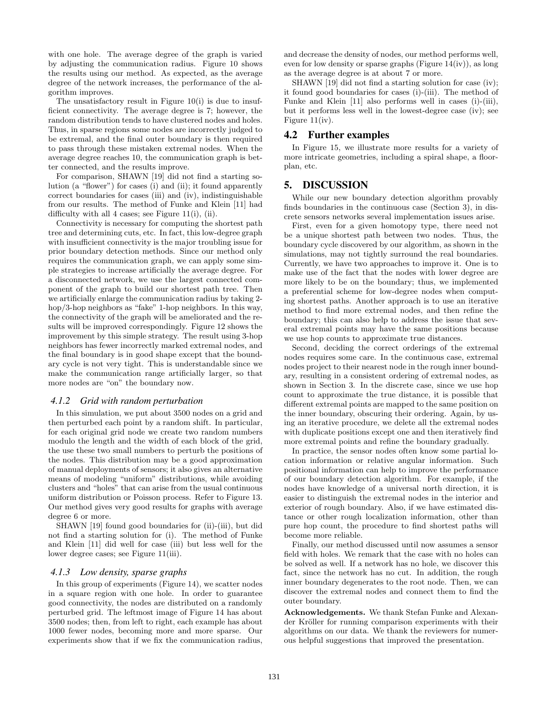with one hole. The average degree of the graph is varied by adjusting the communication radius. Figure 10 shows the results using our method. As expected, as the average degree of the network increases, the performance of the algorithm improves.

The unsatisfactory result in Figure 10(i) is due to insufficient connectivity. The average degree is 7; however, the random distribution tends to have clustered nodes and holes. Thus, in sparse regions some nodes are incorrectly judged to be extremal, and the final outer boundary is then required to pass through these mistaken extremal nodes. When the average degree reaches 10, the communication graph is better connected, and the results improve.

For comparison, SHAWN [19] did not find a starting solution (a "flower") for cases (i) and (ii); it found apparently correct boundaries for cases (iii) and (iv), indistinguishable from our results. The method of Funke and Klein [11] had difficulty with all 4 cases; see Figure 11(i), (ii).

Connectivity is necessary for computing the shortest path tree and determining cuts, etc. In fact, this low-degree graph with insufficient connectivity is the major troubling issue for prior boundary detection methods. Since our method only requires the communication graph, we can apply some simple strategies to increase artificially the average degree. For a disconnected network, we use the largest connected component of the graph to build our shortest path tree. Then we artificially enlarge the communication radius by taking 2 hop/3-hop neighbors as "fake" 1-hop neighbors. In this way, the connectivity of the graph will be ameliorated and the results will be improved correspondingly. Figure 12 shows the improvement by this simple strategy. The result using 3-hop neighbors has fewer incorrectly marked extremal nodes, and the final boundary is in good shape except that the boundary cycle is not very tight. This is understandable since we make the communication range artificially larger, so that more nodes are "on" the boundary now.

#### *4.1.2 Grid with random perturbation*

In this simulation, we put about 3500 nodes on a grid and then perturbed each point by a random shift. In particular, for each original grid node we create two random numbers modulo the length and the width of each block of the grid, the use these two small numbers to perturb the positions of the nodes. This distribution may be a good approximation of manual deployments of sensors; it also gives an alternative means of modeling "uniform" distributions, while avoiding clusters and "holes" that can arise from the usual continuous uniform distribution or Poisson process. Refer to Figure 13. Our method gives very good results for graphs with average degree 6 or more.

SHAWN [19] found good boundaries for (ii)-(iii), but did not find a starting solution for (i). The method of Funke and Klein [11] did well for case (iii) but less well for the lower degree cases; see Figure 11(iii).

### *4.1.3 Low density, sparse graphs*

In this group of experiments (Figure 14), we scatter nodes in a square region with one hole. In order to guarantee good connectivity, the nodes are distributed on a randomly perturbed grid. The leftmost image of Figure 14 has about 3500 nodes; then, from left to right, each example has about 1000 fewer nodes, becoming more and more sparse. Our experiments show that if we fix the communication radius, and decrease the density of nodes, our method performs well, even for low density or sparse graphs (Figure 14(iv)), as long as the average degree is at about 7 or more.

SHAWN [19] did not find a starting solution for case (iv); it found good boundaries for cases (i)-(iii). The method of Funke and Klein [11] also performs well in cases (i)-(iii), but it performs less well in the lowest-degree case (iv); see Figure 11(iv).

### **4.2 Further examples**

In Figure 15, we illustrate more results for a variety of more intricate geometries, including a spiral shape, a floorplan, etc.

# **5. DISCUSSION**

While our new boundary detection algorithm provably finds boundaries in the continuous case (Section 3), in discrete sensors networks several implementation issues arise.

First, even for a given homotopy type, there need not be a unique shortest path between two nodes. Thus, the boundary cycle discovered by our algorithm, as shown in the simulations, may not tightly surround the real boundaries. Currently, we have two approaches to improve it. One is to make use of the fact that the nodes with lower degree are more likely to be on the boundary; thus, we implemented a preferential scheme for low-degree nodes when computing shortest paths. Another approach is to use an iterative method to find more extremal nodes, and then refine the boundary; this can also help to address the issue that several extremal points may have the same positions because we use hop counts to approximate true distances.

Second, deciding the correct orderings of the extremal nodes requires some care. In the continuous case, extremal nodes project to their nearest node in the rough inner boundary, resulting in a consistent ordering of extremal nodes, as shown in Section 3. In the discrete case, since we use hop count to approximate the true distance, it is possible that different extremal points are mapped to the same position on the inner boundary, obscuring their ordering. Again, by using an iterative procedure, we delete all the extremal nodes with duplicate positions except one and then iteratively find more extremal points and refine the boundary gradually.

In practice, the sensor nodes often know some partial location information or relative angular information. Such positional information can help to improve the performance of our boundary detection algorithm. For example, if the nodes have knowledge of a universal north direction, it is easier to distinguish the extremal nodes in the interior and exterior of rough boundary. Also, if we have estimated distance or other rough localization information, other than pure hop count, the procedure to find shortest paths will become more reliable.

Finally, our method discussed until now assumes a sensor field with holes. We remark that the case with no holes can be solved as well. If a network has no hole, we discover this fact, since the network has no cut. In addition, the rough inner boundary degenerates to the root node. Then, we can discover the extremal nodes and connect them to find the outer boundary.

**Acknowledgements.** We thank Stefan Funke and Alexander Kröller for running comparison experiments with their algorithms on our data. We thank the reviewers for numerous helpful suggestions that improved the presentation.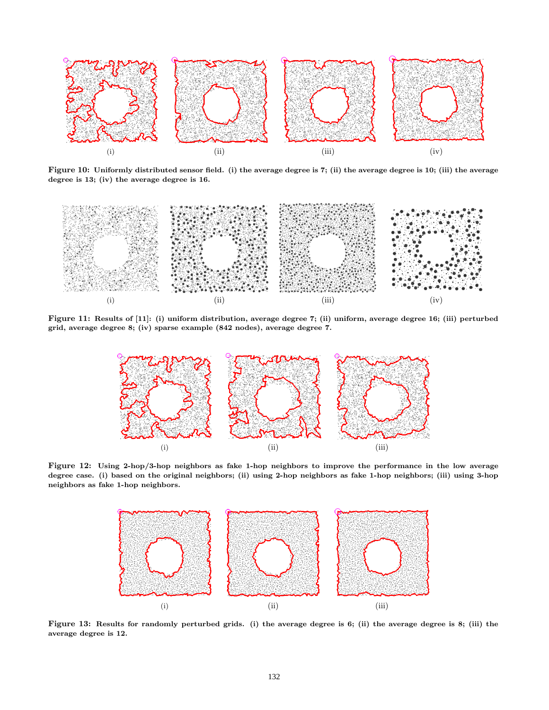

**Figure 10: Uniformly distributed sensor field. (i) the average degree is 7; (ii) the average degree is 10; (iii) the average degree is 13; (iv) the average degree is 16.**



**Figure 11: Results of [11]: (i) uniform distribution, average degree 7; (ii) uniform, average degree 16; (iii) perturbed grid, average degree 8; (iv) sparse example (842 nodes), average degree 7.**



**Figure 12: Using 2-hop/3-hop neighbors as fake 1-hop neighbors to improve the performance in the low average degree case. (i) based on the original neighbors; (ii) using 2-hop neighbors as fake 1-hop neighbors; (iii) using 3-hop neighbors as fake 1-hop neighbors.**



**Figure 13: Results for randomly perturbed grids. (i) the average degree is 6; (ii) the average degree is 8; (iii) the average degree is 12.**